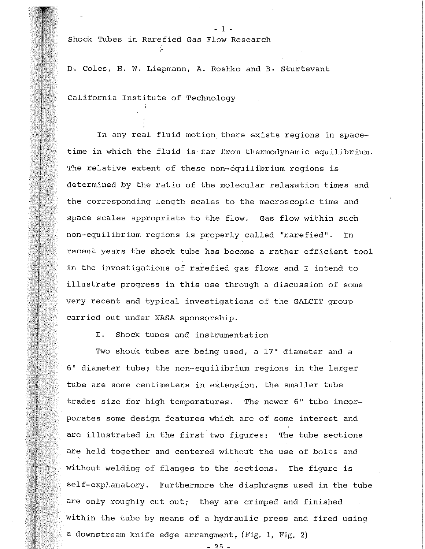Shock Tubes in Rarefied Gas Flow Research

, ..

D. Coles, H. w. Liepmann, A. Roshko and B. Sturtevant

- 1 -

California Institute of Technology

In any real fluid motion there exists regions in spacetime in which the fluid is far from thermodynamic equilibrium. The relative extent of these non-equilibrium regions is determined by the ratio of the molecular relaxation times and the corresponding length scales to the macroscopic time and space scales appropriate to the flow. Gas flow within such non-equilibrium regions is properly called "rarefied". In recent years the shock tube has become a rather efficient tool in the investigations of rarefied gas flows and I intend to illustrate progress in this use through a discussion of some very recent and typical investigations of the GALCIT group carried out under NASA sponsorship.

I. Shock tubes and instrumentation

Two shock tubes are being used, a 17" diameter and a 6" diameter tube; the non-equilibrium regions in the larger tube are some centimeters in extension, the smaller tube trades size for high temperatures. The newer 6" tube incorporates some design features which are of some interest and are illustrated in the first two figures: The tube sections are held together and centered without the use of bolts and without welding of flanges to the sections. The figure is self-explanatory. Furthermore the diaphragms used in the tube are only roughly cut out; they are crimped and finished within the tube by means of a hydraulic press and fired using a downstream knife edge arrangment. (Fig. 1, Fig. 2)

 $-25 -$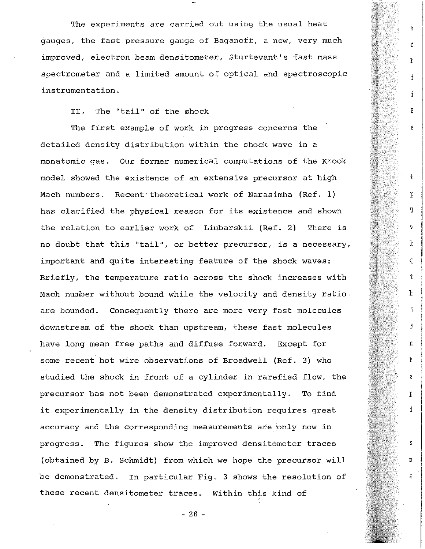The experiments are carried out using the usual heat gauges, the fast pressure gauge of Baganoff, a new, very much improved, electron beam densitometer, Sturtevant's fast mass spectrometer and a limited amount of optical and spectroscopic instrumentation.

 $\mathbf{\hat{I}}$ 

c

 $\mathbf{r}$ 

j

á.

I

Ś

 $\ddagger$ 

 $\widetilde{\text{r}}$ 

ŋ.

 $\mathbf{r}$ 

t

 $\mathsf C$ 

 $\mathbf{r}$ 

j

i.

n

Þ

ã

 $\mathbf{r}$ 

ť.

n

Ë.

£.

II. The "tail" of the shock

The first example of work in progress concerns the detailed density distribution within the shock wave in a monatomic gas. Our former numerical computations of the Krook model showed the existence of an extensive precursor at high Mach numbers. Recent' theoretical work of Narasimha (Ref. 1) has clarified the physical reason for its existence and shown the relation to earlier work of Liubarskii (Ref. 2) There is no doubt that this "tail", or better precursor, is a necessary, important and quite interesting feature of the shock waves: Briefly, the temperature ratio across the shock increases with Mach number without bound while the velocity and density ratio. are bounded. Consequently there are more very fast molecules downstream of the shock than upstream, these fast molecules have long mean free paths and diffuse forward. Except for some recent hot wire observations of Broadwell (Ref. 3) who studied the shock in front of a cylinder in rarefied flow, the precursor has not been demonstrated experimentally. To find it experimentally in the density distribution requires great accuracy and the corresponding measurements are 'only now in progress. The figures show the improved densitometer traces (obtained by B. Schmidt) from which we hope the precursor will be demonstrated. In particular Fig. 3 shows the resolution of these recent densitometer traces. Within this kind of

- 26 -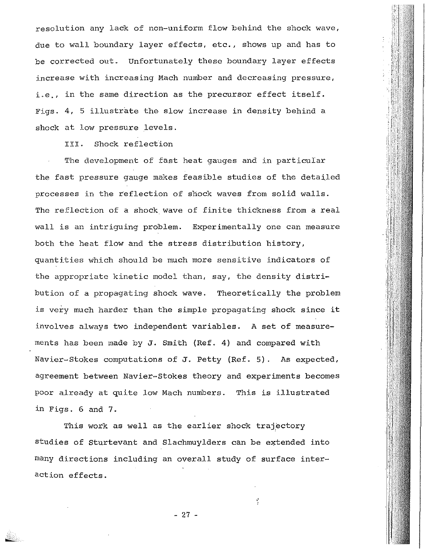resolution any lack of non-uniform flow behind the shock wave, due to wall boundary layer effects, etc., shows up and has to be corrected out. Unfortunately these boundary layer effects increase with increasing Mach number and decreasing pressure, i.e., in the same direction as the precursor effect itself. Figs. 4, 5 illustrate the slow increase in density behind a shock at low pressure levels.

III. Shock reflection

The development of fast heat gauges and in particular the fast pressure gauge makes feasible studies of the detailed processes in the reflection of shock waves from solid walls. The reflection of a shock wave of finite thickness from a real wall is an intriguing problem. Experimentally one can measure both the heat flow and the stress distribution history, quantities which should be much more sensitive indicators of the appropriate kinetic model than, say, the density distribution of a propagating shock wave. Theoretically the problem is very much harder than the simple propagating shock since it involves always two independent variables. A set of measurements has been made by J. Smith (Ref. 4) and compared with Navier-Stokes computations of J. Petty (Ref. 5). As expected, agreement between Navier-Stokes theory and experiments becomes poor already at quite low Mach numbers. This is illustrated in Figs. 6 and 7.

This work as well as the earlier shock trajectory studies of Sturtevant and Slachmuylders can be extended into many directions including an overall study of surface interaction effects.

- 27 -

,,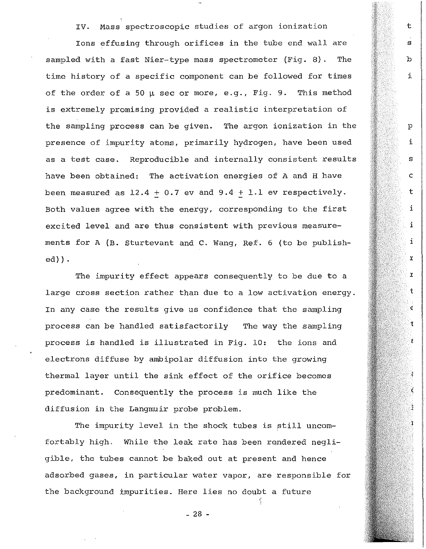IV. Mass spectroscopic studies of argon ionization

t

s

b

i

p

i

s

c

t

i

i

i

r.

 $\pmb{\chi}$ 

t

 $\epsilon$ 

Ť.

 $\epsilon$ 

ĉ

Ċ

1

Ions effusing through orifices in the tube end wall are sampled with a fast Nier-type mass spectrometer (Fig. 8). The time history of a specific component can be followed for times of the order of a 50  $\mu$  sec or more, e.g., Fig. 9. This method is extremely promising provided a realistic interpretation of the sampling process can be given. The argon ionization in the presence of impurity atoms, primarily hydrogen, have been used as a test case. Reproducible and internally consistent results have been obtained: The activation energies of A and H have been measured as  $12.4 + 0.7$  ev and  $9.4 + 1.1$  ev respectively. Both values agree with the energy, corresponding to the first excited level and are thus consistent with previous measurements for A (B. Sturtevant and C. Wang, Ref. 6 (to be published)) •

The impurity effect appears consequently to be due to a large cross section rather than due to a low activation energy. In any case the results give us confidence that the sampling process can be handled satisfactorily The way the sampling process is handled is illustrated in Fig. 10: the ions and electrons diffuse by ambipolar diffusion into the growing thermal layer until the sink effect of the orifice becomes predominant. Consequently the process is much like the diffusion in the Langmuir probe problem.

The impurity level in the shock tubes is still uncomfortably high. While the leak rate has been rendered negligible, the tubes cannot be baked out at present and hence adsorbed gases, in particular water vapor, are responsible for the background impurities. Here lies no doubt a future

- 28 -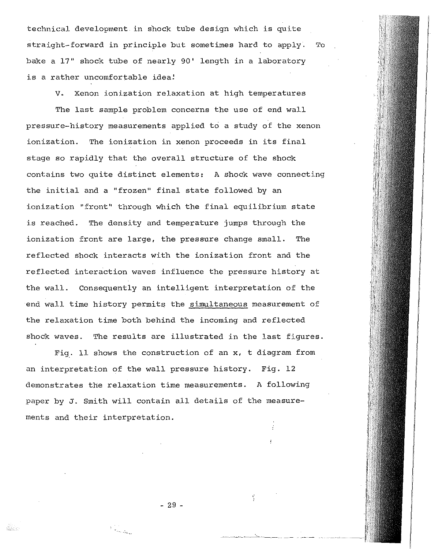technical development in shock tube design which is quite straight-forward in principle but sometimes hard to apply. To bake a 17" shock tube of nearly 90' length in a laboratory is a rather uncomfortable idea!

v. Xenon ionization relaxation at high temperatures

The last sample problem concerns the use of end wall pressure-history measurements applied to a study of the xenon ionization. The ionization in xenon proceeds in its final stage so rapidly that the overall structure of the shock contains two quite distinct elements: A shock wave connecting the initial and a "frozen" final state followed by an ionization "front" through which the final equilibrium state is reached. The density and temperature jumps through the ionization front are large, the pressure change small. The reflected shock interacts with the ionization front and the reflected interaction waves influence the pressure history at the wall. Consequently an intelligent interpretation of the end wall time history permits the simultaneous measurement of the relaxation time both behind the incoming and reflected shock waves. The results are illustrated in the last figures.

Fig. 11 shows the construction of an  $x$ , t diagram from an interpretation of the wall pressure history. Fig. 12 demonstrates the relaxation time measurements. A following paper by J. Smith will contain all details of the measurements and their interpretation.

- 29 -

--·---~--""'--'----

-, \_\_\_\_\_\_ \_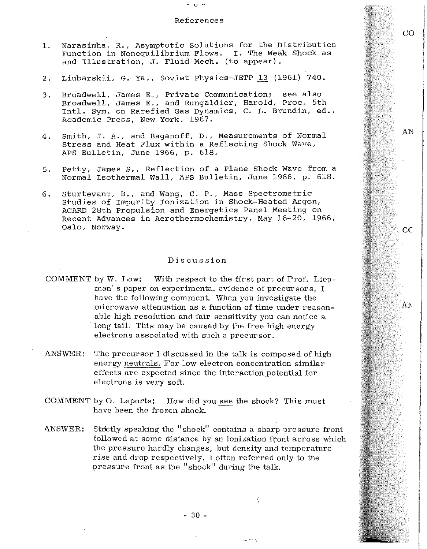## References

co

AN

cc

AJ\

- u -

- 1. Narasimha, R., Asymptotic Solutions for the Distribution Function in Nonequilibrium Flows. I. The Weak Shock as and Illustration, J. Fluid Mech. (to appear).
- 2. Liubarskii, G. Ya., Soviet Physics-JETP 13 (1961) 740.
- 3. Broadwell, James E., Private Communication; see also Broadwell, James E., and Rungaldier, Harold, Proc. 5th Intl. Sym. on Rarefied Gas Dynamics, c. L. Brundin, ed., Academic Press, New York, 1967.
- 4. Smith, J. A., and Baganoff, D., Measurements of Normal Stress and Heat Flux within a Reflecting Shock Wave, APS Bulletin, June 1966, p. 618.
- 5. Petty, James s., Reflection of a Plane Shock Wave from a Normal Isothermal Wall, APS Bulletin, June 1966, p. 618.
- 6. Sturtevant, B., and Wang, c. P., Mass Spectrometric Studies of Impurity Ionization in Shock-Heated Argon, AGARD 28th Propulsion and Energetics Panel Meeting on Recent Advances in Aerothermochemistry, May 16-20, 1966, Oslo, Norway.

## Discussion

- COMMENT by W. Low: With respect to the first part of Prof. Liepman's paper on experimental evidence of precursors, I have the following comment. When you investigate the microwave attenuation as a function of time under reasonable high resolution and fair sensitivity you can notice a long tail. This may be caused by the free high energy electrons associated with such a precursor.
- ANSWER: The precursor I discussed in the talk is composed of high energy neutrals. For low electron concentration similar effects are expected since the interaction potential for electrons is very soft.
- COMMENT by 0. Laporte: How did you see the shock? This must have been the frozen shock,
- ANSWER: Strictly speaking the "shock" contains a sharp pressure front followed at some distance by an ionization front across which the pressure hardly changes, but density and temperature rise and drop respectively. I often referred only to the pressure front as the "shock" during the talk.

...

 $\cdots$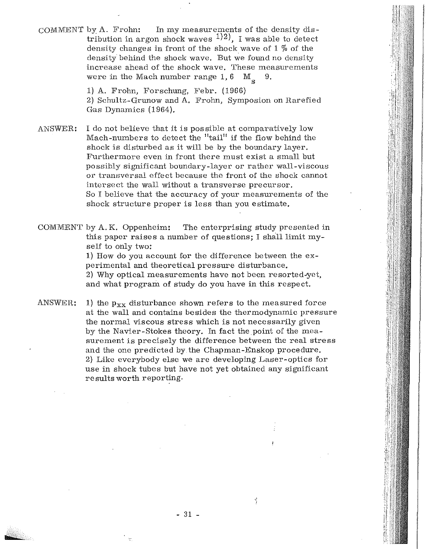COMMENT by A. Frohn: In my measurements of the density distribution in argon shock waves  $1/2$ , I was able to detect density changes in front of the shock wave of  $1\%$  of the density behind the shock wave. But we found no density increase ahead of the shock wave. These measurements were in the Mach number range  $1, 6 \text{ M}_2$  9.  $M_{c}$ 

> 1) A. Frohn, Forschung, Febr. (1966) 2) Schultz-Grunow and A. Frohn, Symposion on Rarefied Gas Dynamics (1964).

ANSWER: I do not believe that it is possible at comparatively low Mach-numbers to detect the "tail" if the flow behind the shock is disturbed as it will be by the boundary layer. Furthermore even in front there must exist a small but possibly significant boundary-layer or rather wall-viscous or transversal effect because the front of the shock cannot intersect the wall without a transverse precursor. So I believe that the accuracy of your measurements of the shock structure proper is less than you estimate.

COMMENT by A. K. Oppenheim: The enterprising study presented in this paper raises a number of questions; I shall limit myself to only two:

> 1) How do you account for the difference between the experimental and theoretical pressure disturbance. 2) Why optical measurements have not been resorted-yet, and what program of study do you have in this respect.

ANSWER: 1) the  $p_{xx}$  disturbance shown refers to the measured force at the wall and contains besides the thermodynamic pressure the normal viscous stress which is not necessarily given by the Navier-Stokes theory. In fact the point of the measurement is precisely the difference between the real stress and the one predicted by. the Chapman-Enskop procedure. 2) Like everybody else we are developing Laser-optics for use in shock tubes but have not yet obtained any significant results worth reporting.

- 31 -

 $\frac{1}{2}$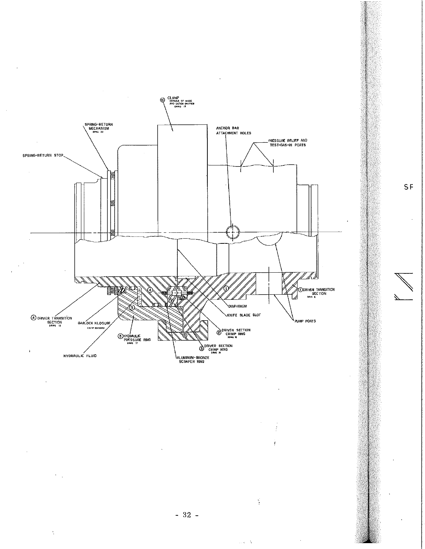

 $\gamma$ 

 $\tilde{\boldsymbol{\beta}}$ 

 $\frac{1}{2\sqrt{2}}\frac{1}{2}$  .

SF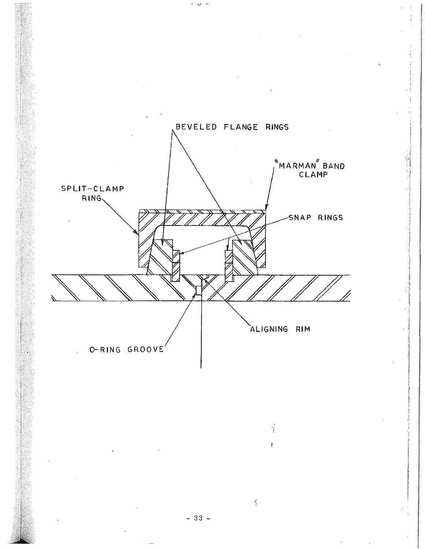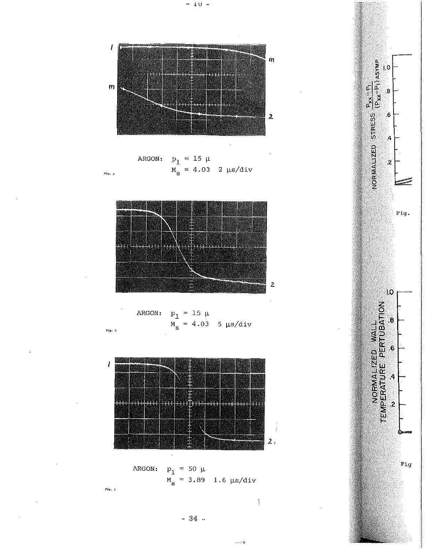

$$
\begin{aligned}\n\text{ARGON:} \quad & p_1 = 15 \, \mu \\
& M_s = 4.03 \quad 2 \, \mu s / \text{div}\n\end{aligned}
$$

 $\overline{\phantom{a}}$ 

 $\bar{\phantom{a}}$ 

 $\frac{1}{2}$ 

 $\frac{\eta'}{t}$ 

 $\omega$  and  $\Delta$ 



$$
MRGON: \n\begin{aligned}\n&P_1 = 15 \mu \\
M_S = 4.03 \quad 5 \mu s / \text{div}\n\end{aligned}
$$

 $\mathcal{I}$ an<br>Kalenda **erri** n van die see van die volle van die volle van die van die van die van die van die van die van die van die van <br>Die van die van die van die van die van die van die van die van die van die van die van die van die van die va mm m TAT ne e p **Marit** 精神<br>取締無 Ŧ S  $2<sub>i</sub>$  $\mathcal{A}^{\mathcal{A}}$ 

$$
ARGON: \n\begin{aligned}\n& p_1 = 50 \, \mu \\
& M_s = 3.89 \quad 1.6 \, \mu s / \text{div}\n\end{aligned}
$$

 $_{\rm Fig.~5}$ 

 $Fig. 3$ 

$$
\begin{array}{cccc}\n\frac{1}{2} & \frac{1}{2} & \frac{1}{2} & \frac{1}{2} \\
& \frac{1}{2} & \frac{1}{2} & \frac{1}{2} \\
& \frac{1}{2} & \frac{1}{2} & \frac{1}{2} \\
& \frac{1}{2} & \frac{1}{2} & \frac{1}{2} \\
& \frac{1}{2} & \frac{1}{2} & \frac{1}{2} \\
& \frac{1}{2} & \frac{1}{2} & \frac{1}{2} \\
& \frac{1}{2} & \frac{1}{2} & \frac{1}{2} \\
& \frac{1}{2} & \frac{1}{2} & \frac{1}{2} \\
& \frac{1}{2} & \frac{1}{2} & \frac{1}{2} \\
& \frac{1}{2} & \frac{1}{2} & \frac{1}{2} \\
& \frac{1}{2} & \frac{1}{2} & \frac{1}{2} \\
& \frac{1}{2} & \frac{1}{2} & \frac{1}{2} \\
& \frac{1}{2} & \frac{1}{2} & \frac{1}{2} & \frac{1}{2} \\
& \frac{1}{2} & \frac{1}{2} & \frac{1}{2} & \frac{1}{2} \\
& \frac{1}{2} & \frac{1}{2} & \frac{1}{2} & \frac{1}{2} \\
& \frac{1}{2} & \frac{1}{2} & \frac{1}{2} & \frac{1}{2} \\
& \frac{1}{2} & \frac{1}{2} & \frac{1}{2} & \frac{1}{2} \\
& \frac{1}{2} & \frac{1}{2} & \frac{1}{2} & \frac{1}{2} \\
& \frac{1}{2} & \frac{1}{2} & \frac{1}{2} & \frac{1}{2} \\
& \frac{1}{2} & \frac{1}{2} & \frac{1}{2} & \frac{1}{2} \\
& \frac{1}{2} & \frac{1}{2} & \frac{1}{2} & \frac{1}{2} \\
& \frac{1}{2} & \frac{1}{2} & \frac{1}{2} & \frac{1}{2} \\
& \frac{1}{2} & \frac{1}{2} & \frac{1}{2} & \frac{1}{2} \\
& \frac{1}{2} & \frac{1}{2} & \frac{1}{2} & \frac{1}{2} \\
& \frac{1}{2} & \frac{1}{2} & \frac{1}{2} & \frac{1}{2} \\
& \frac{1}{2} & \frac{1}{2}
$$

 $-34-$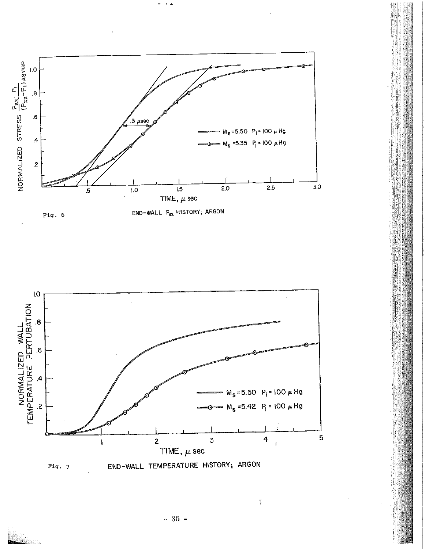

 $\pm$   $\pm$ 



 $-35 -$ 

 $\frac{\partial^2}{\partial t^2}$ 

山<br>県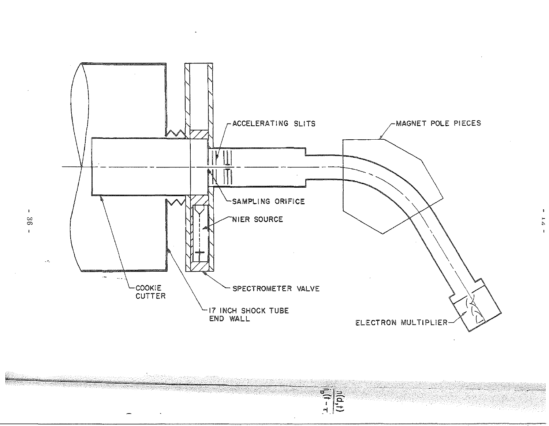

 $\frac{1}{(1+1)^{n}}$ 

Ñ

 $\mathbf{I}$  $96$  $\mathbf{I}$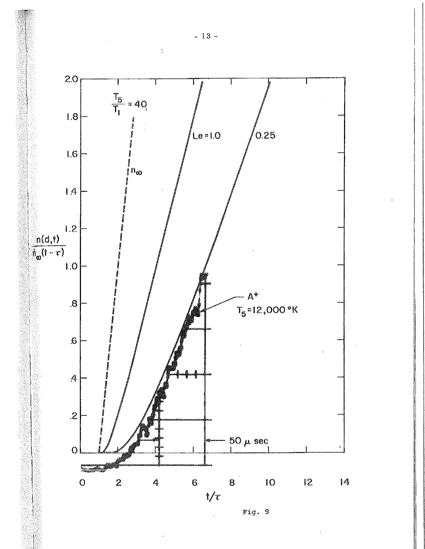

Fig. 9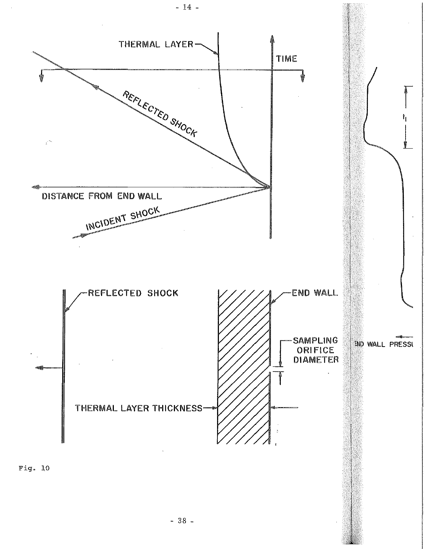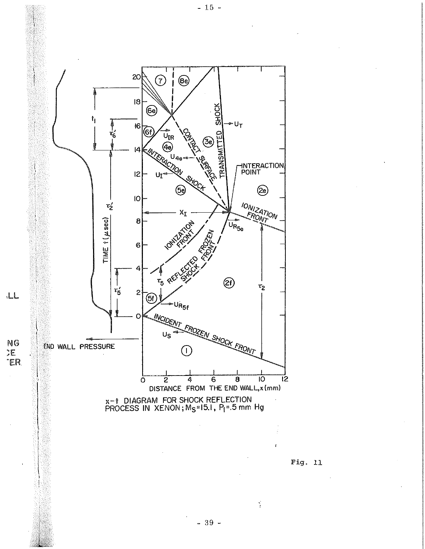

 $-39 -$ 

 $-15 -$